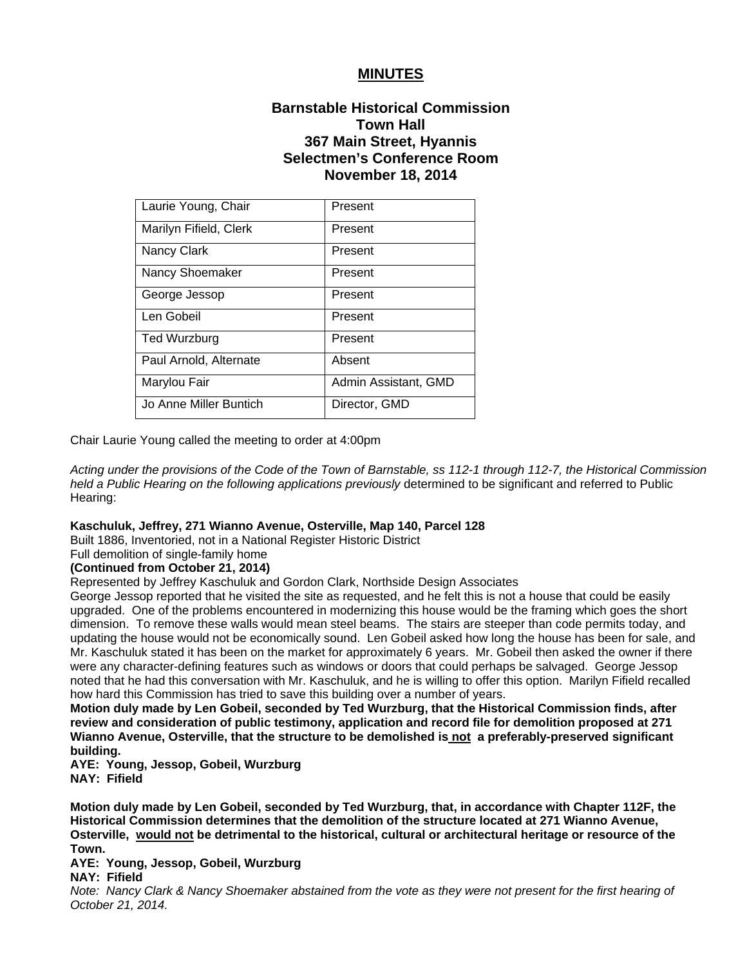## **MINUTES**

# **Barnstable Historical Commission Town Hall 367 Main Street, Hyannis Selectmen's Conference Room November 18, 2014**

| Laurie Young, Chair    | Present              |
|------------------------|----------------------|
| Marilyn Fifield, Clerk | Present              |
| <b>Nancy Clark</b>     | Present              |
| Nancy Shoemaker        | Present              |
| George Jessop          | Present              |
| Len Gobeil             | Present              |
| <b>Ted Wurzburg</b>    | Present              |
| Paul Arnold, Alternate | Absent               |
| Marylou Fair           | Admin Assistant, GMD |
| Jo Anne Miller Buntich | Director, GMD        |

Chair Laurie Young called the meeting to order at 4:00pm

*Acting under the provisions of the Code of the Town of Barnstable, ss 112-1 through 112-7, the Historical Commission held a Public Hearing on the following applications previously* determined to be significant and referred to Public Hearing:

#### **Kaschuluk, Jeffrey, 271 Wianno Avenue, Osterville, Map 140, Parcel 128**

Built 1886, Inventoried, not in a National Register Historic District

Full demolition of single-family home

#### **(Continued from October 21, 2014)**

Represented by Jeffrey Kaschuluk and Gordon Clark, Northside Design Associates

George Jessop reported that he visited the site as requested, and he felt this is not a house that could be easily upgraded. One of the problems encountered in modernizing this house would be the framing which goes the short dimension. To remove these walls would mean steel beams. The stairs are steeper than code permits today, and updating the house would not be economically sound. Len Gobeil asked how long the house has been for sale, and Mr. Kaschuluk stated it has been on the market for approximately 6 years. Mr. Gobeil then asked the owner if there were any character-defining features such as windows or doors that could perhaps be salvaged. George Jessop noted that he had this conversation with Mr. Kaschuluk, and he is willing to offer this option. Marilyn Fifield recalled how hard this Commission has tried to save this building over a number of years.

**Motion duly made by Len Gobeil, seconded by Ted Wurzburg, that the Historical Commission finds, after review and consideration of public testimony, application and record file for demolition proposed at 271 Wianno Avenue, Osterville, that the structure to be demolished is not a preferably-preserved significant building.** 

**AYE: Young, Jessop, Gobeil, Wurzburg NAY: Fifield**

**Motion duly made by Len Gobeil, seconded by Ted Wurzburg, that, in accordance with Chapter 112F, the Historical Commission determines that the demolition of the structure located at 271 Wianno Avenue, Osterville, would not be detrimental to the historical, cultural or architectural heritage or resource of the Town.** 

### **AYE: Young, Jessop, Gobeil, Wurzburg**

## **NAY: Fifield**

*Note: Nancy Clark & Nancy Shoemaker abstained from the vote as they were not present for the first hearing of October 21, 2014.*